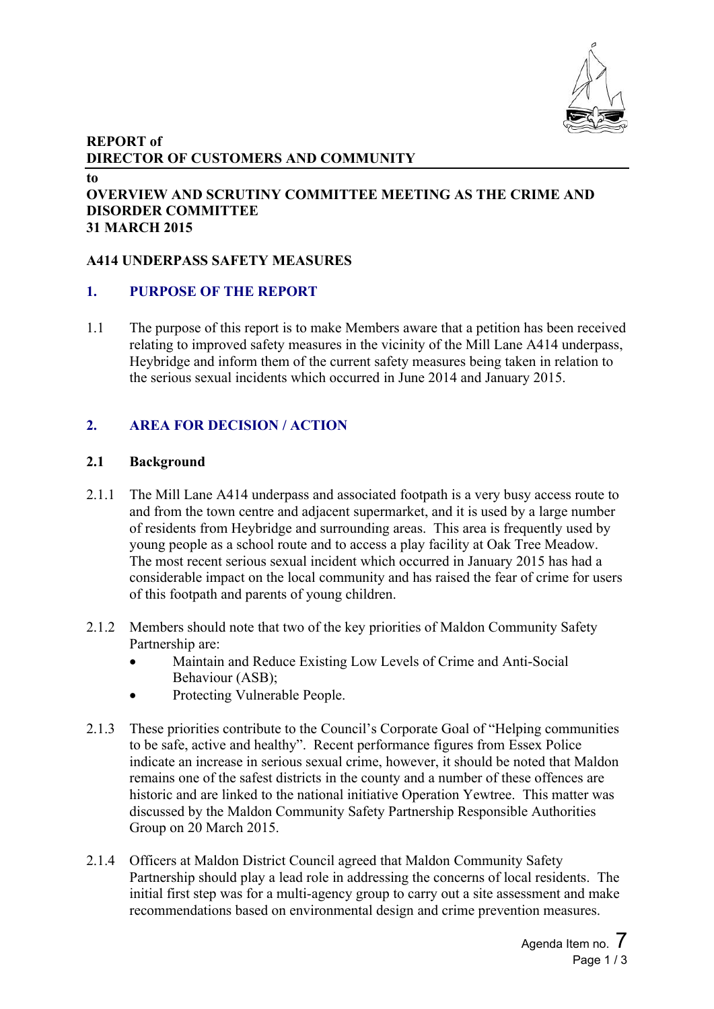

### **REPORT of DIRECTOR OF CUSTOMERS AND COMMUNITY**

**to**

#### **OVERVIEW AND SCRUTINY COMMITTEE MEETING AS THE CRIME AND DISORDER COMMITTEE 31 MARCH 2015**

# **A414 UNDERPASS SAFETY MEASURES**

### **1. PURPOSE OF THE REPORT**

1.1 The purpose of this report is to make Members aware that a petition has been received relating to improved safety measures in the vicinity of the Mill Lane A414 underpass, Heybridge and inform them of the current safety measures being taken in relation to the serious sexual incidents which occurred in June 2014 and January 2015.

# **2. AREA FOR DECISION / ACTION**

### **2.1 Background**

- 2.1.1 The Mill Lane A414 underpass and associated footpath is a very busy access route to and from the town centre and adjacent supermarket, and it is used by a large number of residents from Heybridge and surrounding areas. This area is frequently used by young people as a school route and to access a play facility at Oak Tree Meadow. The most recent serious sexual incident which occurred in January 2015 has had a considerable impact on the local community and has raised the fear of crime for users of this footpath and parents of young children.
- 2.1.2 Members should note that two of the key priorities of Maldon Community Safety Partnership are:
	- Maintain and Reduce Existing Low Levels of Crime and Anti-Social Behaviour (ASB);
	- Protecting Vulnerable People.
- 2.1.3 These priorities contribute to the Council's Corporate Goal of "Helping communities to be safe, active and healthy". Recent performance figures from Essex Police indicate an increase in serious sexual crime, however, it should be noted that Maldon remains one of the safest districts in the county and a number of these offences are historic and are linked to the national initiative Operation Yewtree. This matter was discussed by the Maldon Community Safety Partnership Responsible Authorities Group on 20 March 2015.
- 2.1.4 Officers at Maldon District Council agreed that Maldon Community Safety Partnership should play a lead role in addressing the concerns of local residents. The initial first step was for a multi-agency group to carry out a site assessment and make recommendations based on environmental design and crime prevention measures.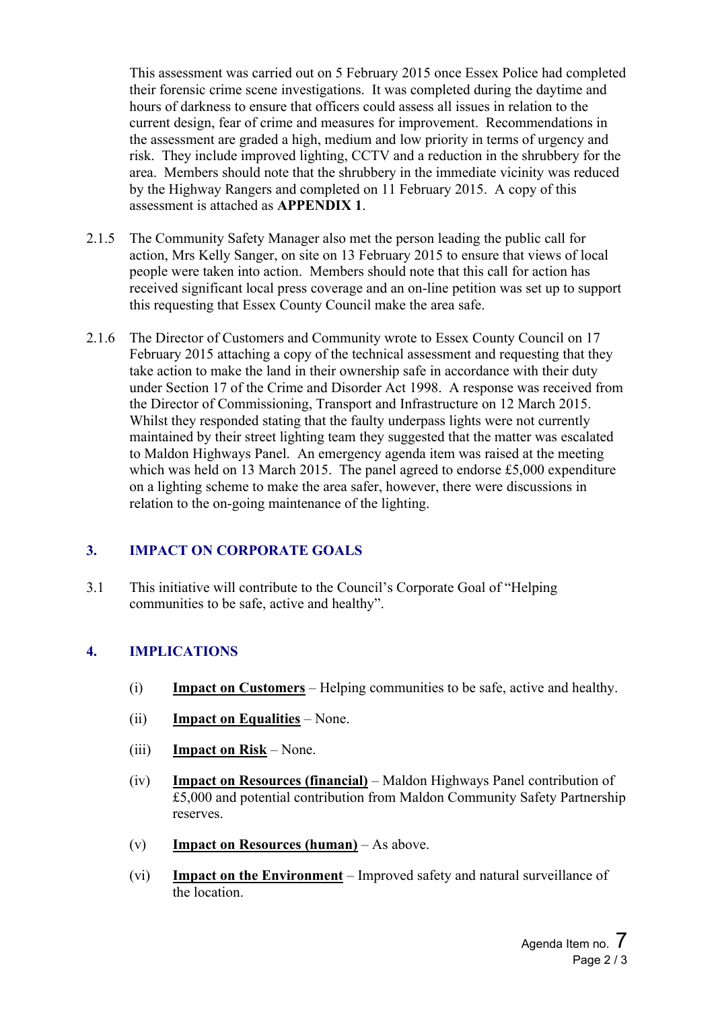This assessment was carried out on 5 February 2015 once Essex Police had completed their forensic crime scene investigations. It was completed during the daytime and hours of darkness to ensure that officers could assess all issues in relation to the current design, fear of crime and measures for improvement. Recommendations in the assessment are graded a high, medium and low priority in terms of urgency and risk. They include improved lighting, CCTV and a reduction in the shrubbery for the area. Members should note that the shrubbery in the immediate vicinity was reduced by the Highway Rangers and completed on 11 February 2015. A copy of this assessment is attached as **APPENDIX 1**.

- 2.1.5 The Community Safety Manager also met the person leading the public call for action, Mrs Kelly Sanger, on site on 13 February 2015 to ensure that views of local people were taken into action. Members should note that this call for action has received significant local press coverage and an on-line petition was set up to support this requesting that Essex County Council make the area safe.
- 2.1.6 The Director of Customers and Community wrote to Essex County Council on 17 February 2015 attaching a copy of the technical assessment and requesting that they take action to make the land in their ownership safe in accordance with their duty under Section 17 of the Crime and Disorder Act 1998. A response was received from the Director of Commissioning, Transport and Infrastructure on 12 March 2015. Whilst they responded stating that the faulty underpass lights were not currently maintained by their street lighting team they suggested that the matter was escalated to Maldon Highways Panel. An emergency agenda item was raised at the meeting which was held on 13 March 2015. The panel agreed to endorse £5,000 expenditure on a lighting scheme to make the area safer, however, there were discussions in relation to the on-going maintenance of the lighting.

# **3. IMPACT ON CORPORATE GOALS**

3.1 This initiative will contribute to the Council's Corporate Goal of "Helping communities to be safe, active and healthy".

# **4. IMPLICATIONS**

- (i) **Impact on Customers** Helping communities to be safe, active and healthy.
- (ii) **Impact on Equalities** None.
- (iii) **Impact on Risk** None.
- (iv) **Impact on Resources (financial)** Maldon Highways Panel contribution of £5,000 and potential contribution from Maldon Community Safety Partnership reserves.
- (v) **Impact on Resources (human)** As above.
- (vi) **Impact on the Environment** Improved safety and natural surveillance of the location.